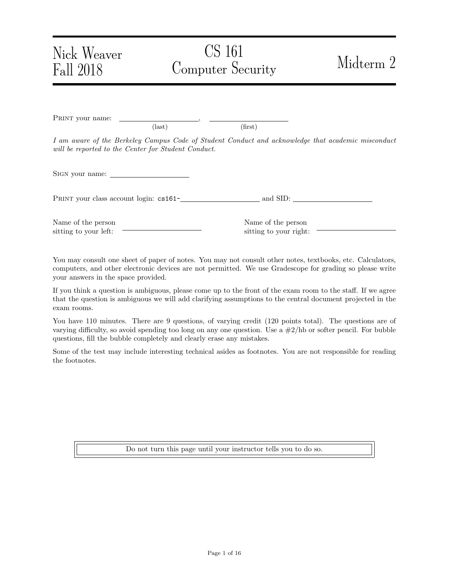# Nick Weaver Fall 2018

# CS 161 Computer Security Midterm 2

PRINT your name:  $\text{(last)}\tag{first}$ I am aware of the Berkeley Campus Code of Student Conduct and acknowledge that academic misconduct will be reported to the Center for Student Conduct. SIGN your name:

PRINT your class account login:  $cs161-$  and SID:

Name of the person sitting to your left:

Name of the person sitting to your right:

You may consult one sheet of paper of notes. You may not consult other notes, textbooks, etc. Calculators, computers, and other electronic devices are not permitted. We use Gradescope for grading so please write your answers in the space provided.

If you think a question is ambiguous, please come up to the front of the exam room to the staff. If we agree that the question is ambiguous we will add clarifying assumptions to the central document projected in the exam rooms.

You have 110 minutes. There are 9 questions, of varying credit (120 points total). The questions are of varying difficulty, so avoid spending too long on any one question. Use a  $\#2/h$  or softer pencil. For bubble questions, fill the bubble completely and clearly erase any mistakes.

Some of the test may include interesting technical asides as footnotes. You are not responsible for reading the footnotes.

Do not turn this page until your instructor tells you to do so.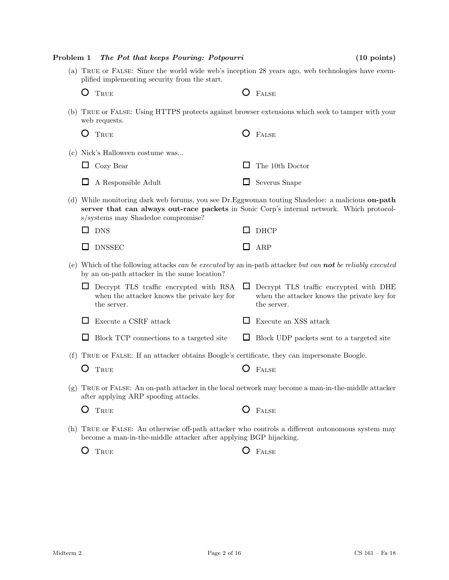|     |   | Problem 1 The Pot that keeps Pouring: Potpourri                                                                                                                                                                                     |     | $(10 \text{ points})$                                                                                |
|-----|---|-------------------------------------------------------------------------------------------------------------------------------------------------------------------------------------------------------------------------------------|-----|------------------------------------------------------------------------------------------------------|
|     |   | (a) TRUE or FALSE: Since the world wide web's inception 28 years ago, web technologies have exem-<br>plified implementing security from the start.                                                                                  |     |                                                                                                      |
|     |   | TRUE                                                                                                                                                                                                                                | O   | FALSE                                                                                                |
|     |   | (b) TRUE or FALSE: Using HTTPS protects against browser extensions which seek to tamper with your<br>web requests.                                                                                                                  |     |                                                                                                      |
|     |   | TRUE                                                                                                                                                                                                                                |     | FALSE                                                                                                |
|     |   | (c) Nick's Halloween costume was                                                                                                                                                                                                    |     |                                                                                                      |
|     |   | Cozy Bear                                                                                                                                                                                                                           |     | The 10th Doctor                                                                                      |
|     |   | A Responsible Adult                                                                                                                                                                                                                 |     | Severus Snape                                                                                        |
|     |   | (d) While monitoring dark web forums, you see Dr. Eggwoman touting Shadedoe: a malicious on-path<br>server that can always out-race packets in Sonic Corp's internal network. Which protocol-<br>s/systems may Shadedoe compromise? |     |                                                                                                      |
|     |   | <b>DNS</b>                                                                                                                                                                                                                          |     | DHCP                                                                                                 |
|     |   | <b>DNSSEC</b>                                                                                                                                                                                                                       |     | ARP                                                                                                  |
|     |   | (e) Which of the following attacks can be executed by an in-path attacker but can <b>not</b> be reliably executed<br>by an on-path attacker in the same location?                                                                   |     |                                                                                                      |
|     | ப | Decrypt TLS traffic encrypted with RSA<br>when the attacker knows the private key for<br>the server.                                                                                                                                | ப   | Decrypt TLS traffic encrypted with DHE<br>when the attacker knows the private key for<br>the server. |
|     |   | Execute a CSRF attack                                                                                                                                                                                                               |     | Execute an XSS attack                                                                                |
|     |   | Block TCP connections to a targeted site                                                                                                                                                                                            | ப   | Block UDP packets sent to a targeted site                                                            |
| (f) |   | TRUE OF FALSE: If an attacker obtains Boogle's certificate, they can impersonate Boogle.                                                                                                                                            |     |                                                                                                      |
|     |   | TRUE                                                                                                                                                                                                                                |     | FALSE                                                                                                |
|     |   | (g) TRUE or FALSE: An on-path attacker in the local network may become a man-in-the-middle attacker<br>after applying ARP spoofing attacks.                                                                                         |     |                                                                                                      |
|     |   | TRUE                                                                                                                                                                                                                                |     | FALSE                                                                                                |
|     |   | (h) TRUE or FALSE: An otherwise off-path attacker who controls a different autonomous system may<br>become a man-in-the-middle attacker after applying BGP hijacking.                                                               |     |                                                                                                      |
|     |   | TRUE                                                                                                                                                                                                                                | ( ) | FALSE                                                                                                |
|     |   |                                                                                                                                                                                                                                     |     |                                                                                                      |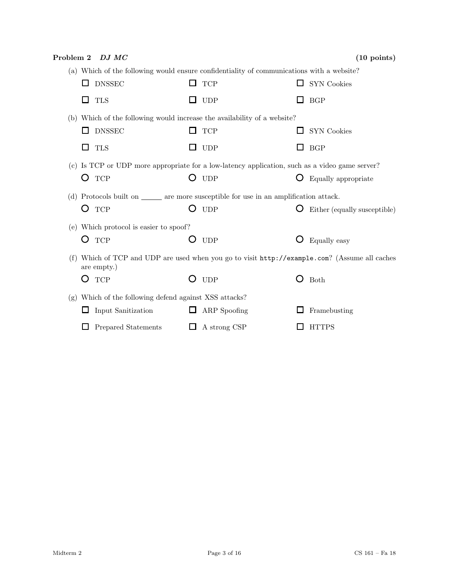| Problem 2 | $DJ$ $MC$                                                                                                |           |              |   | $(10 \text{ points})$        |
|-----------|----------------------------------------------------------------------------------------------------------|-----------|--------------|---|------------------------------|
|           | (a) Which of the following would ensure confidentiality of communications with a website?                |           |              |   |                              |
|           | <b>DNSSEC</b>                                                                                            |           | <b>TCP</b>   | ப | <b>SYN Cookies</b>           |
|           | <b>TLS</b><br>ப                                                                                          |           | <b>UDP</b>   |   | <b>BGP</b>                   |
|           | (b) Which of the following would increase the availability of a website?                                 |           |              |   |                              |
|           | <b>DNSSEC</b>                                                                                            |           | <b>TCP</b>   |   | <b>SYN Cookies</b>           |
|           | <b>TLS</b>                                                                                               |           | <b>UDP</b>   |   | <b>BGP</b>                   |
|           | (c) Is TCP or UDP more appropriate for a low-latency application, such as a video game server?           |           |              |   |                              |
|           | <b>TCP</b><br>$\left( \right)$                                                                           | $\lambda$ | <b>UDP</b>   |   | Equally appropriate          |
|           | (d) Protocols built on _______ are more susceptible for use in an amplification attack.                  |           |              |   |                              |
|           | <b>TCP</b><br>$\lambda$                                                                                  | $\bigcap$ | <b>UDP</b>   |   | Either (equally susceptible) |
| (e)       | Which protocol is easier to spoof?                                                                       |           |              |   |                              |
|           | <b>TCP</b><br>O                                                                                          |           | <b>UDP</b>   |   | Equally easy                 |
| (f)       | Which of TCP and UDP are used when you go to visit http://example.com? (Assume all caches<br>are empty.) |           |              |   |                              |
|           | O<br><b>TCP</b>                                                                                          |           | <b>UDP</b>   |   | <b>Both</b>                  |
| (g)       | Which of the following defend against XSS attacks?                                                       |           |              |   |                              |
|           | Input Sanitization                                                                                       |           | ARP Spoofing |   | Framebusting                 |
|           | Prepared Statements                                                                                      | ப         | A strong CSP |   | <b>HTTPS</b>                 |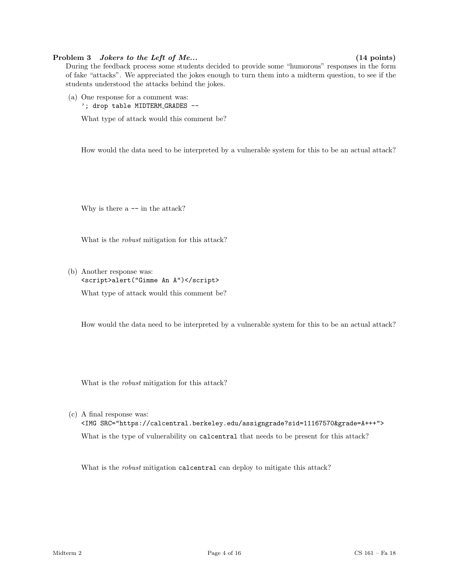### Problem 3 Jokers to the Left of Me... (14 points)

During the feedback process some students decided to provide some "humorous" responses in the form of fake "attacks". We appreciated the jokes enough to turn them into a midterm question, to see if the students understood the attacks behind the jokes.

- (a) One response for a comment was:
	- '; drop table MIDTERM\_GRADES --

What type of attack would this comment be?

How would the data need to be interpreted by a vulnerable system for this to be an actual attack?

Why is there a  $--$  in the attack?

What is the robust mitigation for this attack?

(b) Another response was: <script>alert("Gimme An A")</script> What type of attack would this comment be?

How would the data need to be interpreted by a vulnerable system for this to be an actual attack?

What is the robust mitigation for this attack?

(c) A final response was:

<IMG SRC="https://calcentral.berkeley.edu/assigngrade?sid=11167570&grade=A+++"> What is the type of vulnerability on calcentral that needs to be present for this attack?

What is the *robust* mitigation calcentral can deploy to mitigate this attack?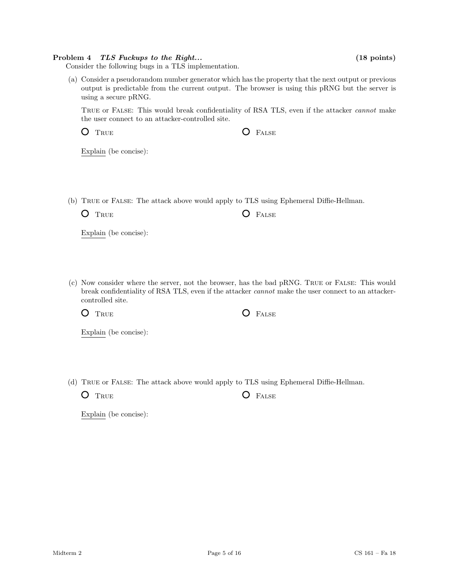### Problem 4 TLS Fuckups to the Right... (18 points)

Consider the following bugs in a TLS implementation.

(a) Consider a pseudorandom number generator which has the property that the next output or previous output is predictable from the current output. The browser is using this pRNG but the server is using a secure pRNG.

TRUE OF FALSE: This would break confidentiality of RSA TLS, even if the attacker *cannot* make the user connect to an attacker-controlled site.

O TRUE **O** FALSE

Explain (be concise):

(b) True or False: The attack above would apply to TLS using Ephemeral Diffie-Hellman.

O TRUE O FALSE

Explain (be concise):

(c) Now consider where the server, not the browser, has the bad pRNG. True or False: This would break confidentiality of RSA TLS, even if the attacker cannot make the user connect to an attackercontrolled site.

O TRUE **O** FALSE

Explain (be concise):

(d) True or False: The attack above would apply to TLS using Ephemeral Diffie-Hellman.

O TRUE O FALSE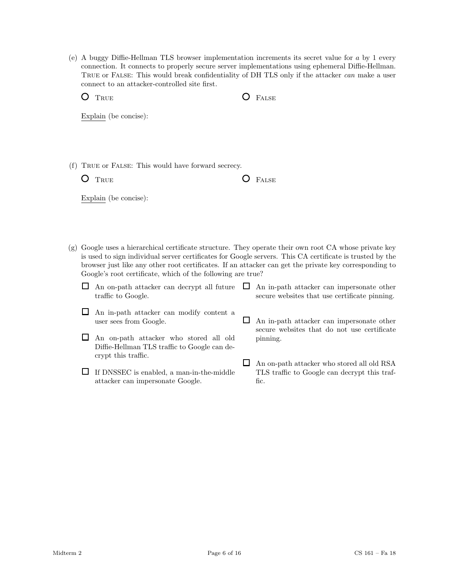(e) A buggy Diffie-Hellman TLS browser implementation increments its secret value for a by 1 every connection. It connects to properly secure server implementations using ephemeral Diffie-Hellman. TRUE OF FALSE: This would break confidentiality of DH TLS only if the attacker can make a user connect to an attacker-controlled site first.

O TRUE **O** FALSE

Explain (be concise):

(f) True or False: This would have forward secrecy.

O TRUE **O** FALSE

Explain (be concise):

(g) Google uses a hierarchical certificate structure. They operate their own root CA whose private key is used to sign individual server certificates for Google servers. This CA certificate is trusted by the browser just like any other root certificates. If an attacker can get the private key corresponding to Google's root certificate, which of the following are true?

| $\Box$ An on-path attacker can decrypt all future $\Box$ An in-path attacker can impersonate other<br>traffic to Google. | secure websites that use certificate pinning.                                                   |
|--------------------------------------------------------------------------------------------------------------------------|-------------------------------------------------------------------------------------------------|
| $\Box$ An in-path attacker can modify content a<br>user sees from Google.                                                | $\Box$ An in-path attacker can impersonate other<br>secure websites that do not use certificate |

pinning.

- An on-path attacker who stored all old Diffie-Hellman TLS traffic to Google can decrypt this traffic.
- $\Box$  If DNSSEC is enabled, a man-in-the-middle attacker can impersonate Google.
- An on-path attacker who stored all old RSA TLS traffic to Google can decrypt this traffic.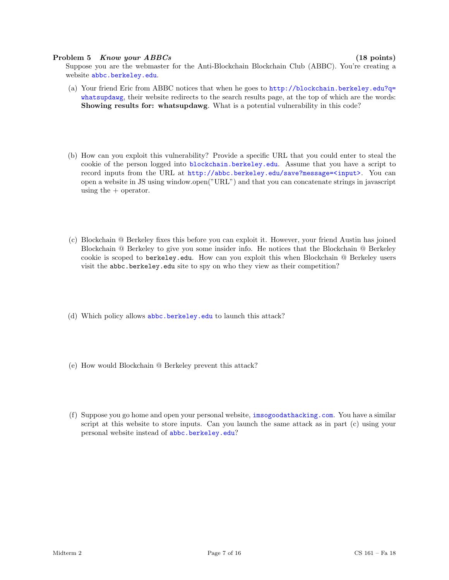### Problem 5 Know your ABBCs (18 points)

Suppose you are the webmaster for the Anti-Blockchain Blockchain Club (ABBC). You're creating a website <abbc.berkeley.edu>.

- (a) Your friend Eric from ABBC notices that when he goes to [http://blockchain.berkeley.edu?q=](http://blockchain.berkeley.edu?q=whatsupdawg) [whatsupdawg](http://blockchain.berkeley.edu?q=whatsupdawg), their website redirects to the search results page, at the top of which are the words: Showing results for: whatsupdawg. What is a potential vulnerability in this code?
- (b) How can you exploit this vulnerability? Provide a specific URL that you could enter to steal the cookie of the person logged into <blockchain.berkeley.edu>. Assume that you have a script to record inputs from the URL at <http://abbc.berkeley.edu/save?message=<input>>. You can open a website in JS using window.open("URL") and that you can concatenate strings in javascript using the  $+$  operator.
- (c) Blockchain @ Berkeley fixes this before you can exploit it. However, your friend Austin has joined Blockchain @ Berkeley to give you some insider info. He notices that the Blockchain @ Berkeley cookie is scoped to berkeley.edu. How can you exploit this when Blockchain @ Berkeley users visit the abbc.berkeley.edu site to spy on who they view as their competition?
- (d) Which policy allows <abbc.berkeley.edu> to launch this attack?
- (e) How would Blockchain @ Berkeley prevent this attack?
- (f) Suppose you go home and open your personal website, <imsogoodathacking.com>. You have a similar script at this website to store inputs. Can you launch the same attack as in part (c) using your personal website instead of <abbc.berkeley.edu>?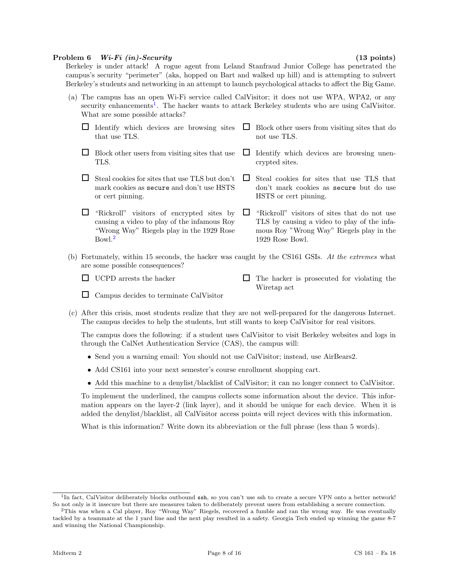### Problem 6 Wi-Fi (in)-Security (13 points)

Berkeley is under attack! A rogue agent from Leland Stanfraud Junior College has penetrated the campus's security "perimeter" (aka, hopped on Bart and walked up hill) and is attempting to subvert Berkeley's students and networking in an attempt to launch psychological attacks to affect the Big Game.

(a) The campus has an open Wi-Fi service called CalVisitor; it does not use WPA, WPA2, or any security enhancements<sup>[1](#page-7-0)</sup>. The hacker wants to attack Berkeley students who are using CalVisitor. What are some possible attacks?

|  | Identify which devices are browsing sites<br>that use TLS.                                                                                                  | Block other users from visiting sites that do<br>not use TLS.                                                                                              |
|--|-------------------------------------------------------------------------------------------------------------------------------------------------------------|------------------------------------------------------------------------------------------------------------------------------------------------------------|
|  | Block other users from visiting sites that use<br>TLS.                                                                                                      | Identify which devices are browsing unen-<br>crypted sites.                                                                                                |
|  | Steal cookies for sites that use TLS but don't<br>mark cookies as secure and don't use HSTS<br>or cert pinning.                                             | Steal cookies for sites that use TLS that<br>don't mark cookies as secure but do use<br>HSTS or cert pinning.                                              |
|  | "Rickroll" visitors of encrypted sites by<br>causing a video to play of the infamous Roy<br>"Wrong Way" Riegels play in the 1929 Rose<br>Bowl. <sup>2</sup> | "Rickroll" visitors of sites that do not use<br>TLS by causing a video to play of the infa-<br>mous Roy "Wrong Way" Riegels play in the<br>1929 Rose Bowl. |
|  | (b) Fortunately, within 15 seconds, the hacker was caught by the CS161 GSIs. At the extremes what<br>are some possible consequences?                        |                                                                                                                                                            |

 $\Box$  UCPD arrests the hacker

 $\Box$  The hacker is prosecuted for violating the Wiretap act

 $\Box$  Campus decides to terminate CalVisitor

(c) After this crisis, most students realize that they are not well-prepared for the dangerous Internet. The campus decides to help the students, but still wants to keep CalVisitor for real visitors.

The campus does the following: if a student uses CalVisitor to visit Berkeley websites and logs in through the CalNet Authentication Service (CAS), the campus will:

- Send you a warning email: You should not use CalVisitor; instead, use AirBears2.
- Add CS161 into your next semester's course enrollment shopping cart.
- Add this machine to a denylist/blacklist of CalVisitor; it can no longer connect to CalVisitor.

To implement the underlined, the campus collects some information about the device. This information appears on the layer-2 (link layer), and it should be unique for each device. When it is added the denylist/blacklist, all CalVisitor access points will reject devices with this information.

What is this information? Write down its abbreviation or the full phrase (less than 5 words).

<span id="page-7-0"></span><sup>&</sup>lt;sup>1</sup>In fact, CalVisitor deliberately blocks outbound ssh, so you can't use ssh to create a secure VPN onto a better network! So not only is it insecure but there are measures taken to deliberately prevent users from establishing a secure connection.

<span id="page-7-1"></span><sup>2</sup>This was when a Cal player, Roy "Wrong Way" Riegels, recovered a fumble and ran the wrong way. He was eventually tackled by a teammate at the 1 yard line and the next play resulted in a safety. Georgia Tech ended up winning the game 8-7 and winning the National Championship.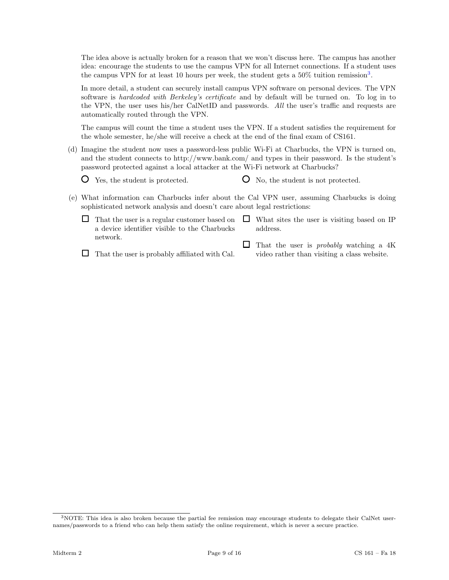The idea above is actually broken for a reason that we won't discuss here. The campus has another idea: encourage the students to use the campus VPN for all Internet connections. If a student uses the campus VPN for at least 10 hours per week, the student gets a  $50\%$  tuition remission<sup>[3](#page-8-0)</sup>.

In more detail, a student can securely install campus VPN software on personal devices. The VPN software is hardcoded with Berkeley's certificate and by default will be turned on. To log in to the VPN, the user uses his/her CalNetID and passwords. All the user's traffic and requests are automatically routed through the VPN.

The campus will count the time a student uses the VPN. If a student satisfies the requirement for the whole semester, he/she will receive a check at the end of the final exam of CS161.

(d) Imagine the student now uses a password-less public Wi-Fi at Charbucks, the VPN is turned on, and the student connects to http://www.bank.com/ and types in their password. Is the student's password protected against a local attacker at the Wi-Fi network at Charbucks?

 $\overline{O}$  Yes, the student is protected.  $\overline{O}$  No, the student is not protected.

- (e) What information can Charbucks infer about the Cal VPN user, assuming Charbucks is doing sophisticated network analysis and doesn't care about legal restrictions:
	- $\Box$  That the user is a regular customer based on a device identifier visible to the Charbucks network.
	- $\Box$  That the user is probably affiliated with Cal.
- $\Box$  What sites the user is visiting based on IP address.
- $\Box$  That the user is *probably* watching a 4K video rather than visiting a class website.

<span id="page-8-0"></span><sup>3</sup>NOTE: This idea is also broken because the partial fee remission may encourage students to delegate their CalNet usernames/passwords to a friend who can help them satisfy the online requirement, which is never a secure practice.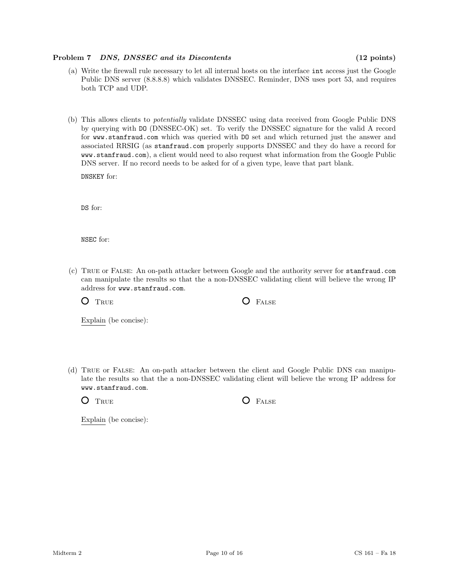### Problem 7 DNS, DNSSEC and its Discontents (12 points)

- (a) Write the firewall rule necessary to let all internal hosts on the interface int access just the Google Public DNS server (8.8.8.8) which validates DNSSEC. Reminder, DNS uses port 53, and requires both TCP and UDP.
- (b) This allows clients to potentially validate DNSSEC using data received from Google Public DNS by querying with DO (DNSSEC-OK) set. To verify the DNSSEC signature for the valid A record for www.stanfraud.com which was queried with DO set and which returned just the answer and associated RRSIG (as stanfraud.com properly supports DNSSEC and they do have a record for www.stanfraud.com), a client would need to also request what information from the Google Public DNS server. If no record needs to be asked for of a given type, leave that part blank.

DNSKEY for:

DS for:

NSEC for:

(c) True or False: An on-path attacker between Google and the authority server for stanfraud.com can manipulate the results so that the a non-DNSSEC validating client will believe the wrong IP address for www.stanfraud.com.

O TRUE O FALSE

Explain (be concise):

(d) True or False: An on-path attacker between the client and Google Public DNS can manipulate the results so that the a non-DNSSEC validating client will believe the wrong IP address for www.stanfraud.com.

O TRUE **O** FALSE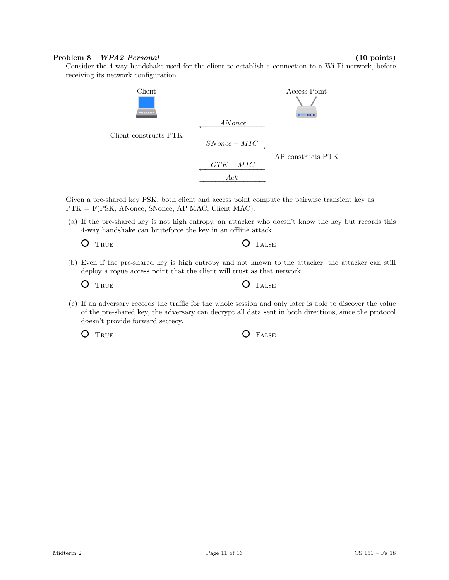## Problem 8 *WPA2 Personal* (10 points)

Consider the 4-way handshake used for the client to establish a connection to a Wi-Fi network, before receiving its network configuration.



Given a pre-shared key PSK, both client and access point compute the pairwise transient key as PTK = F(PSK, ANonce, SNonce, AP MAC, Client MAC).

(a) If the pre-shared key is not high entropy, an attacker who doesn't know the key but records this 4-way handshake can bruteforce the key in an offline attack.

O TRUE **O** FALSE

(b) Even if the pre-shared key is high entropy and not known to the attacker, the attacker can still deploy a rogue access point that the client will trust as that network.

 $O$  True

| M.<br>v | .,<br>۰, |
|---------|----------|
|         |          |

(c) If an adversary records the traffic for the whole session and only later is able to discover the value of the pre-shared key, the adversary can decrypt all data sent in both directions, since the protocol doesn't provide forward secrecy.

O TRUE **O** FALSE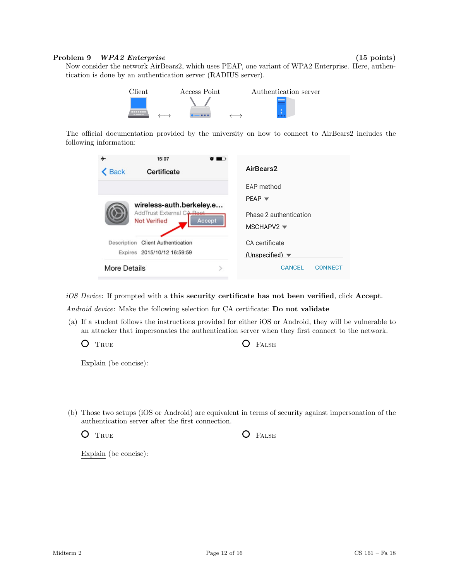### Problem 9 WPA2 Enterprise (15 points)

Now consider the network AirBears2, which uses PEAP, one variant of WPA2 Enterprise. Here, authentication is done by an authentication server (RADIUS server).



The official documentation provided by the university on how to connect to AirBears2 includes the following information:

| ⊬            | 15:07                         |                                    |
|--------------|-------------------------------|------------------------------------|
| <b>Back</b>  | Certificate                   | AirBears2                          |
|              |                               | <b>FAP</b> method                  |
|              | wireless-auth.berkeley.e      | $PEAP \blacktriangleright$         |
|              | AddTrust External CA Root     | Phase 2 authentication             |
|              | <b>Not Verified</b><br>Accept | $MSCHAPV2 \rightarrow$             |
| Description  | <b>Client Authentication</b>  | CA certificate                     |
|              | Expires 2015/10/12 16:59:59   | (Unspecified) $\blacktriangledown$ |
| More Details |                               | <b>CANCEL</b><br><b>CONNECT</b>    |

iOS Device: If prompted with a this security certificate has not been verified, click Accept.

Android device: Make the following selection for CA certificate: Do not validate

(a) If a student follows the instructions provided for either iOS or Android, they will be vulnerable to an attacker that impersonates the authentication server when they first connect to the network.

 $O$  True

| AL.<br><b>K.V.</b><br>. . |
|---------------------------|

Explain (be concise):

(b) Those two setups (iOS or Android) are equivalent in terms of security against impersonation of the authentication server after the first connection.

 $O$  FALSE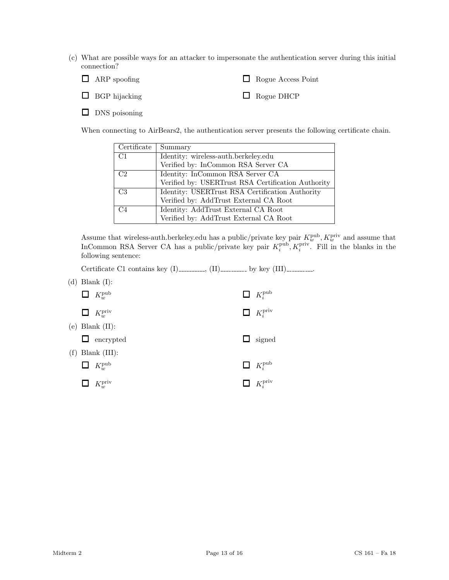(c) What are possible ways for an attacker to impersonate the authentication server during this initial connection?

| $\Box$ ARP spoofing  | $\Box$ Rogue Access Point |
|----------------------|---------------------------|
| $\Box$ BGP hijacking | $\Box$ Rogue DHCP         |

 $\Box$  DNS poisoning

When connecting to AirBears2, the authentication server presents the following certificate chain.

| Certificate    | Summary                                            |
|----------------|----------------------------------------------------|
| C1             | Identity: wireless-auth.berkeley.edu               |
|                | Verified by: InCommon RSA Server CA                |
| C2             | Identity: InCommon RSA Server CA                   |
|                | Verified by: USERTrust RSA Certification Authority |
| C <sub>3</sub> | Identity: USERTrust RSA Certification Authority    |
|                | Verified by: AddTrust External CA Root             |
| C4             | Identity: AddTrust External CA Root                |
|                | Verified by: AddTrust External CA Root             |

Assume that wireless-auth.berkeley.edu has a public/private key pair  $K_w^{\text{pub}}$ ,  $K_w^{\text{priv}}$  and assume that InCommon RSA Server CA has a public/private key pair  $K_i^{\text{pub}}$ ,  $K_i^{\text{priv}}$ . Fill in the blanks in the following sentence:

Certificate C1 contains key (I) , (II) by key (III) .

 $(d)$  Blank  $(I)$ :  $K_w^{\text{pub}}$  $K_{w}^{\text{priv}}$  $K_i^{\text{pub}}$  $K_i^{\text{priv}}$ (e) Blank (II):  $\Box$  encrypted  $\Box$  signed (f) Blank (III):  $K_w^{\text{pub}}$  $K_{w}^{\text{priv}}$  $K_i^{\text{pub}}$  $K_i^{\text{priv}}$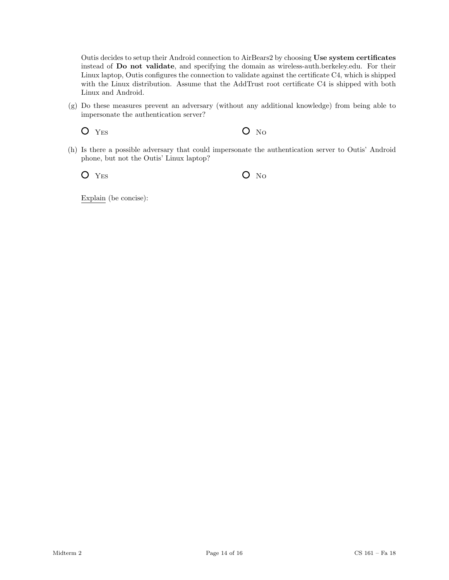Outis decides to setup their Android connection to AirBears2 by choosing Use system certificates instead of Do not validate, and specifying the domain as wireless-auth.berkeley.edu. For their Linux laptop, Outis configures the connection to validate against the certificate C4, which is shipped with the Linux distribution. Assume that the AddTrust root certificate C4 is shipped with both Linux and Android.

(g) Do these measures prevent an adversary (without any additional knowledge) from being able to impersonate the authentication server?

 $O$   $Y_{ES}$   $O$   $No$ 

(h) Is there a possible adversary that could impersonate the authentication server to Outis' Android phone, but not the Outis' Linux laptop?

 $O$   $Y_{ES}$   $O$   $NO$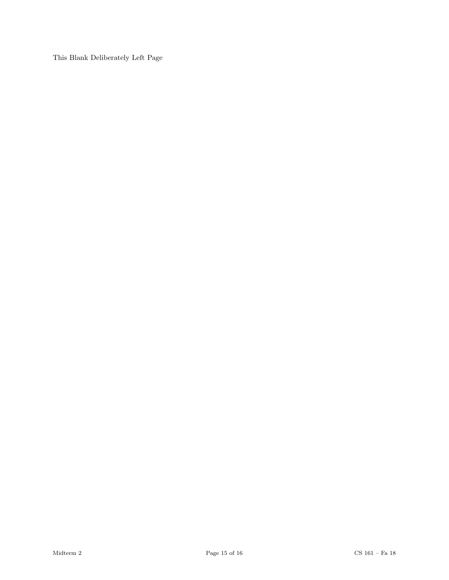This Blank Deliberately Left Page